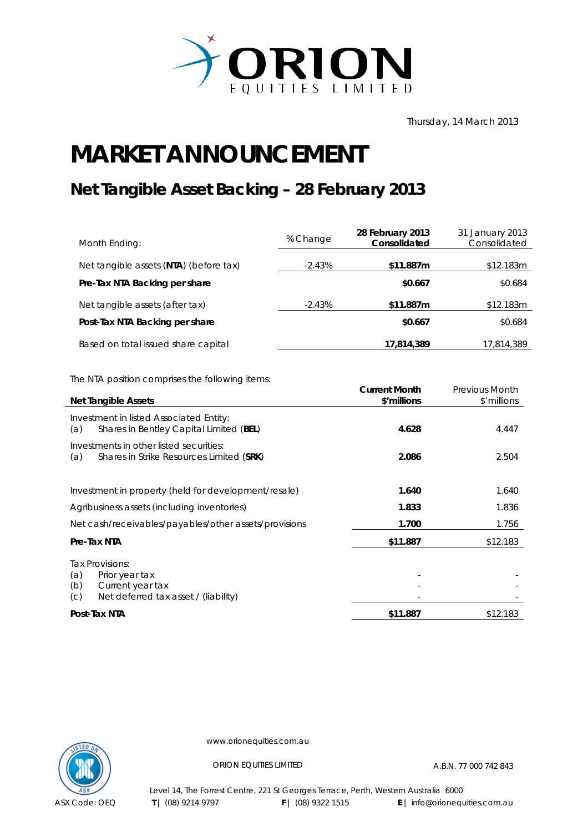

Thursday, 14 March 2013

## **MARKET ANNOUNCEMENT**

## **Net Tangible Asset Backing – 28 February 2013**

| Month Ending:                          | % Change  | 28 February 2013<br>Consolidated | 31 January 2013<br>Consolidated |
|----------------------------------------|-----------|----------------------------------|---------------------------------|
| Net tangible assets (NTA) (before tax) | $-2.43\%$ | \$11.887m                        | \$12.183m                       |
| Pre-Tax NTA Backing per share          |           | \$0.667                          | \$0.684                         |
| Net tangible assets (after tax)        | $-2.43%$  | \$11.887m                        | \$12.183m                       |
| Post-Tax NTA Backing per share         |           | \$0.667                          | \$0.684                         |
| Based on total issued share capital    |           | 17,814,389                       | 17,814,389                      |

The NTA position comprises the following items:

| <b>Net Tangible Assets</b>                                                                                         | <b>Current Month</b><br>\$'millions | <b>Previous Month</b><br>\$'millions |
|--------------------------------------------------------------------------------------------------------------------|-------------------------------------|--------------------------------------|
| Investment in listed Associated Entity:<br>Shares in Bentley Capital Limited (BEL)<br>(a)                          | 4.628                               | 4.447                                |
| Investments in other listed securities:<br>Shares in Strike Resources Limited (SRK)<br>(a)                         | 2.086                               | 2.504                                |
| Investment in property (held for development/resale)                                                               | 1.640                               | 1.640                                |
| Agribusiness assets (including inventories)                                                                        | 1.833                               | 1.836                                |
| Net cash/receivables/payables/other assets/provisions                                                              | 1.700                               | 1.756                                |
| Pre-Tax NTA                                                                                                        | \$11.887                            | \$12.183                             |
| Tax Provisions:<br>(a)<br>Prior year tax<br>(b)<br>Current year tax<br>Net deferred tax asset / (liability)<br>(C) |                                     |                                      |
| Post-Tax NTA                                                                                                       | \$11.887                            | \$12.183                             |



www.orionequities.com.au

ORION EQUITIES LIMITED A.B.N. 77 000 742 843